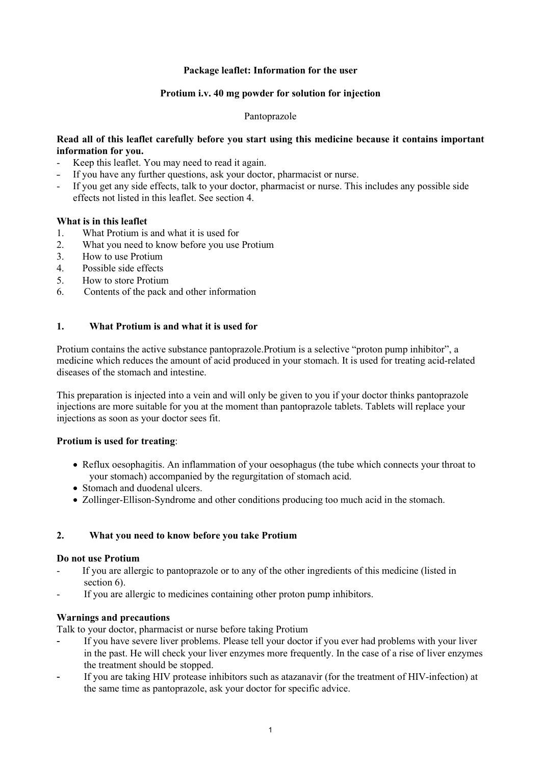# **Package leaflet: Information for the user**

# **Protium i.v. 40 mg powder for solution for injection**

#### Pantoprazole

# **Read all of this leaflet carefully before you start using this medicine because it contains important information for you.**

- Keep this leaflet. You may need to read it again.
- If you have any further questions, ask your doctor, pharmacist or nurse.
- If you get any side effects, talk to your doctor, pharmacist or nurse. This includes any possible side effects not listed in this leaflet. See section 4.

# **What is in this leaflet**

- 1. What Protium is and what it is used for<br>2. What you need to know before you use
- What you need to know before you use Protium
- 3. How to use Protium
- 4. Possible side effects<br>5. How to store Protium
- 5. How to store Protium
- 6. Contents of the pack and other information

# **1. What Protium is and what it is used for**

Protium contains the active substance pantoprazole.Protium is a selective "proton pump inhibitor", a medicine which reduces the amount of acid produced in your stomach. It is used for treating acid-related diseases of the stomach and intestine.

This preparation is injected into a vein and will only be given to you if your doctor thinks pantoprazole injections are more suitable for you at the moment than pantoprazole tablets. Tablets will replace your injections as soon as your doctor sees fit.

#### **Protium is used for treating**:

- Reflux oesophagitis. An inflammation of your oesophagus (the tube which connects your throat to your stomach) accompanied by the regurgitation of stomach acid.
- Stomach and duodenal ulcers.
- Zollinger-Ellison-Syndrome and other conditions producing too much acid in the stomach.

# **2. What you need to know before you take Protium**

#### **Do not use Protium**

- If you are allergic to pantoprazole or to any of the other ingredients of this medicine (listed in section 6).
- If you are allergic to medicines containing other proton pump inhibitors.

## **Warnings and precautions**

Talk to your doctor, pharmacist or nurse before taking Protium

- If you have severe liver problems. Please tell your doctor if you ever had problems with your liver in the past. He will check your liver enzymes more frequently. In the case of a rise of liver enzymes the treatment should be stopped.
- If you are taking HIV protease inhibitors such as atazanavir (for the treatment of HIV-infection) at the same time as pantoprazole, ask your doctor for specific advice.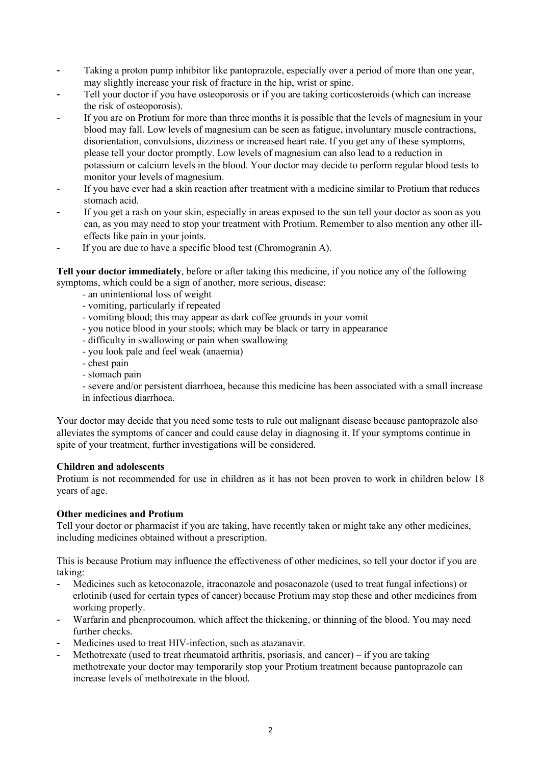- Taking a proton pump inhibitor like pantoprazole, especially over a period of more than one year, may slightly increase your risk of fracture in the hip, wrist or spine.
- Tell your doctor if you have osteoporosis or if you are taking corticosteroids (which can increase the risk of osteoporosis).
- If you are on Protium for more than three months it is possible that the levels of magnesium in your blood may fall. Low levels of magnesium can be seen as fatigue, involuntary muscle contractions, disorientation, convulsions, dizziness or increased heart rate. If you get any of these symptoms, please tell your doctor promptly. Low levels of magnesium can also lead to a reduction in potassium or calcium levels in the blood. Your doctor may decide to perform regular blood tests to monitor your levels of magnesium.
- If you have ever had a skin reaction after treatment with a medicine similar to Protium that reduces stomach acid.
- If you get a rash on your skin, especially in areas exposed to the sun tell your doctor as soon as you can, as you may need to stop your treatment with Protium. Remember to also mention any other illeffects like pain in your joints.
- If you are due to have a specific blood test (Chromogranin A).

**Tell your doctor immediately**, before or after taking this medicine, if you notice any of the following symptoms, which could be a sign of another, more serious, disease:

- an unintentional loss of weight
- vomiting, particularly if repeated
- vomiting blood; this may appear as dark coffee grounds in your vomit
- you notice blood in your stools; which may be black or tarry in appearance
- difficulty in swallowing or pain when swallowing
- you look pale and feel weak (anaemia)
- chest pain
- stomach pain

- severe and/or persistent diarrhoea, because this medicine has been associated with a small increase in infectious diarrhoea.

Your doctor may decide that you need some tests to rule out malignant disease because pantoprazole also alleviates the symptoms of cancer and could cause delay in diagnosing it. If your symptoms continue in spite of your treatment, further investigations will be considered.

#### **Children and adolescents**

Protium is not recommended for use in children as it has not been proven to work in children below 18 years of age.

#### **Other medicines and Protium**

Tell your doctor or pharmacist if you are taking, have recently taken or might take any other medicines, including medicines obtained without a prescription.

This is because Protium may influence the effectiveness of other medicines, so tell your doctor if you are taking:

- Medicines such as ketoconazole, itraconazole and posaconazole (used to treat fungal infections) or erlotinib (used for certain types of cancer) because Protium may stop these and other medicines from working properly.
- Warfarin and phenprocoumon, which affect the thickening, or thinning of the blood. You may need further checks.
- Medicines used to treat HIV-infection, such as atazanavir.
- Methotrexate (used to treat rheumatoid arthritis, psoriasis, and cancer) if you are taking methotrexate your doctor may temporarily stop your Protium treatment because pantoprazole can increase levels of methotrexate in the blood.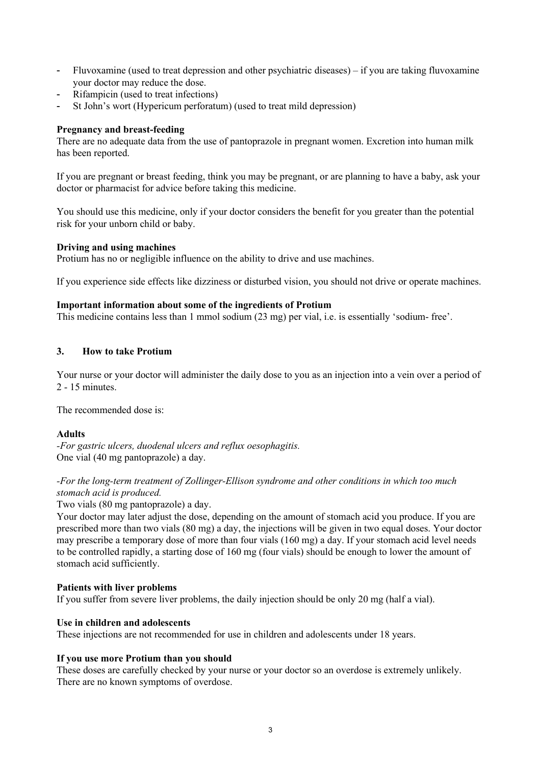- Fluvoxamine (used to treat depression and other psychiatric diseases) if you are taking fluvoxamine your doctor may reduce the dose.
- Rifampicin (used to treat infections)
- St John's wort (Hypericum perforatum) (used to treat mild depression)

# **Pregnancy and breast-feeding**

There are no adequate data from the use of pantoprazole in pregnant women. Excretion into human milk has been reported.

If you are pregnant or breast feeding, think you may be pregnant, or are planning to have a baby, ask your doctor or pharmacist for advice before taking this medicine.

You should use this medicine, only if your doctor considers the benefit for you greater than the potential risk for your unborn child or baby.

# **Driving and using machines**

Protium has no or negligible influence on the ability to drive and use machines.

If you experience side effects like dizziness or disturbed vision, you should not drive or operate machines.

#### **Important information about some of the ingredients of Protium**

This medicine contains less than 1 mmol sodium (23 mg) per vial, i.e. is essentially 'sodium- free'.

# **3. How to take Protium**

Your nurse or your doctor will administer the daily dose to you as an injection into a vein over a period of 2 - 15 minutes.

The recommended dose is:

#### **Adults**

*-For gastric ulcers, duodenal ulcers and reflux oesophagitis.* One vial (40 mg pantoprazole) a day.

# *-For the long-term treatment of Zollinger-Ellison syndrome and other conditions in which too much stomach acid is produced.*

Two vials (80 mg pantoprazole) a day.

Your doctor may later adjust the dose, depending on the amount of stomach acid you produce. If you are prescribed more than two vials (80 mg) a day, the injections will be given in two equal doses. Your doctor may prescribe a temporary dose of more than four vials (160 mg) a day. If your stomach acid level needs to be controlled rapidly, a starting dose of 160 mg (four vials) should be enough to lower the amount of stomach acid sufficiently.

#### **Patients with liver problems**

If you suffer from severe liver problems, the daily injection should be only 20 mg (half a vial).

#### **Use in children and adolescents**

These injections are not recommended for use in children and adolescents under 18 years.

#### **If you use more Protium than you should**

These doses are carefully checked by your nurse or your doctor so an overdose is extremely unlikely. There are no known symptoms of overdose.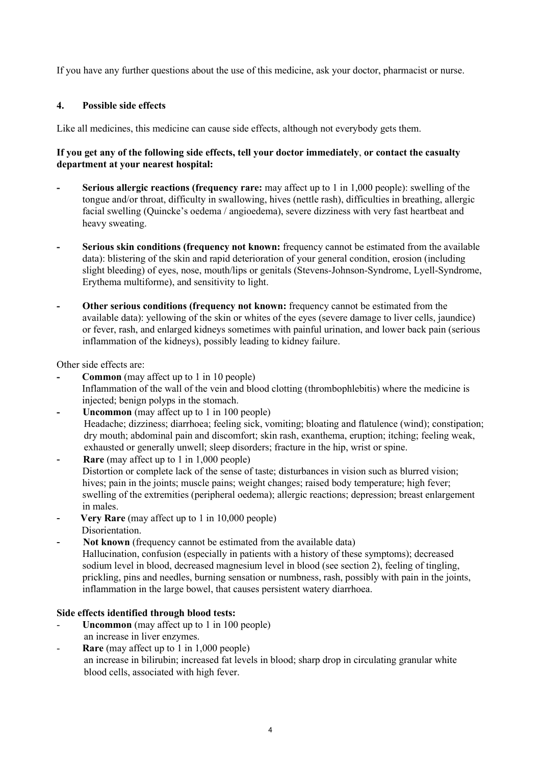If you have any further questions about the use of this medicine, ask your doctor, pharmacist or nurse.

# **4. Possible side effects**

Like all medicines, this medicine can cause side effects, although not everybody gets them.

# **If you get any of the following side effects, tell your doctor immediately**, **or contact the casualty department at your nearest hospital:**

- **- Serious allergic reactions (frequency rare:** may affect up to 1 in 1,000 people): swelling of the tongue and/or throat, difficulty in swallowing, hives (nettle rash), difficulties in breathing, allergic facial swelling (Quincke's oedema / angioedema), severe dizziness with very fast heartbeat and heavy sweating.
- **- Serious skin conditions (frequency not known:** frequency cannot be estimated from the available data): blistering of the skin and rapid deterioration of your general condition, erosion (including slight bleeding) of eyes, nose, mouth/lips or genitals (Stevens-Johnson-Syndrome, Lyell-Syndrome, Erythema multiforme), and sensitivity to light.
- **- Other serious conditions (frequency not known:** frequency cannot be estimated from the available data): yellowing of the skin or whites of the eyes (severe damage to liver cells, jaundice) or fever, rash, and enlarged kidneys sometimes with painful urination, and lower back pain (serious inflammation of the kidneys), possibly leading to kidney failure.

Other side effects are:

- **- Common** (may affect up to 1 in 10 people) Inflammation of the wall of the vein and blood clotting (thrombophlebitis) where the medicine is injected; benign polyps in the stomach.
- **Uncommon** (may affect up to 1 in 100 people) Headache; dizziness; diarrhoea; feeling sick, vomiting; bloating and flatulence (wind); constipation; dry mouth; abdominal pain and discomfort; skin rash, exanthema, eruption; itching; feeling weak, exhausted or generally unwell; sleep disorders; fracture in the hip, wrist or spine.
- **Rare** (may affect up to 1 in 1,000 people) Distortion or complete lack of the sense of taste; disturbances in vision such as blurred vision; hives; pain in the joints; muscle pains; weight changes; raised body temperature; high fever; swelling of the extremities (peripheral oedema); allergic reactions; depression; breast enlargement in males.
- - **Very Rare** (may affect up to 1 in 10,000 people) Disorientation.
- - **Not known** (frequency cannot be estimated from the available data) Hallucination, confusion (especially in patients with a history of these symptoms); decreased sodium level in blood, decreased magnesium level in blood (see section 2), feeling of tingling, prickling, pins and needles, burning sensation or numbness, rash, possibly with pain in the joints, inflammation in the large bowel, that causes persistent watery diarrhoea.

# **Side effects identified through blood tests:**

- **Uncommon** (may affect up to 1 in 100 people) an increase in liver enzymes.
- **Rare** (may affect up to 1 in 1,000 people) an increase in bilirubin; increased fat levels in blood; sharp drop in circulating granular white blood cells, associated with high fever.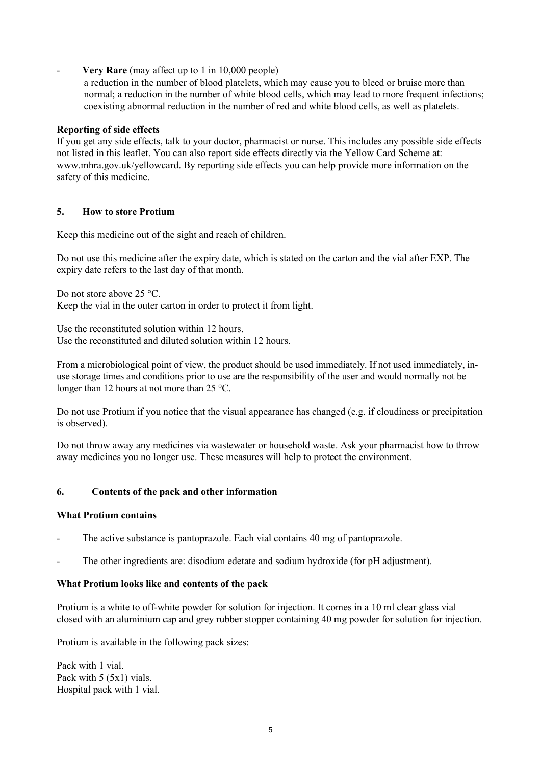# **Very Rare** (may affect up to 1 in 10,000 people)

a reduction in the number of blood platelets, which may cause you to bleed or bruise more than normal; a reduction in the number of white blood cells, which may lead to more frequent infections; coexisting abnormal reduction in the number of red and white blood cells, as well as platelets.

# **Reporting of side effects**

If you get any side effects, talk to your doctor, pharmacist or nurse. This includes any possible side effects not listed in this leaflet. You can also report side effects directly via the Yellow Card Scheme at: www.mhra.gov.uk/yellowcard. By reporting side effects you can help provide more information on the safety of this medicine.

# **5. How to store Protium**

Keep this medicine out of the sight and reach of children.

Do not use this medicine after the expiry date, which is stated on the carton and the vial after EXP. The expiry date refers to the last day of that month.

Do not store above 25 °C. Keep the vial in the outer carton in order to protect it from light.

Use the reconstituted solution within 12 hours. Use the reconstituted and diluted solution within 12 hours.

From a microbiological point of view, the product should be used immediately. If not used immediately, inuse storage times and conditions prior to use are the responsibility of the user and would normally not be longer than 12 hours at not more than 25 °C.

Do not use Protium if you notice that the visual appearance has changed (e.g. if cloudiness or precipitation is observed).

Do not throw away any medicines via wastewater or household waste. Ask your pharmacist how to throw away medicines you no longer use. These measures will help to protect the environment.

# **6. Contents of the pack and other information**

#### **What Protium contains**

- The active substance is pantoprazole. Each vial contains 40 mg of pantoprazole.
- The other ingredients are: disodium edetate and sodium hydroxide (for pH adjustment).

#### **What Protium looks like and contents of the pack**

Protium is a white to off-white powder for solution for injection. It comes in a 10 ml clear glass vial closed with an aluminium cap and grey rubber stopper containing 40 mg powder for solution for injection.

Protium is available in the following pack sizes:

Pack with 1 vial. Pack with 5 (5x1) vials. Hospital pack with 1 vial.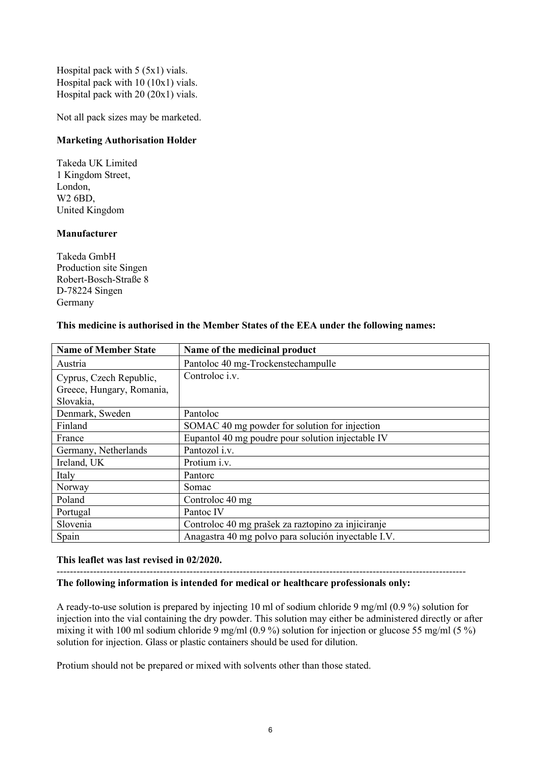Hospital pack with 5 (5x1) vials. Hospital pack with 10 (10x1) vials. Hospital pack with 20 (20x1) vials.

Not all pack sizes may be marketed.

# **Marketing Authorisation Holder**

Takeda UK Limited 1 Kingdom Street, London, W2 6BD, United Kingdom

# **Manufacturer**

Takeda GmbH Production site Singen Robert-Bosch-Straße 8 D-78224 Singen Germany

## **This medicine is authorised in the Member States of the EEA under the following names:**

| <b>Name of Member State</b> | Name of the medicinal product                       |
|-----------------------------|-----------------------------------------------------|
| Austria                     | Pantoloc 40 mg-Trockenstechampulle                  |
| Cyprus, Czech Republic,     | Controloc i.v.                                      |
| Greece, Hungary, Romania,   |                                                     |
| Slovakia,                   |                                                     |
| Denmark, Sweden             | Pantoloc                                            |
| Finland                     | SOMAC 40 mg powder for solution for injection       |
| France                      | Eupantol 40 mg poudre pour solution injectable IV   |
| Germany, Netherlands        | Pantozol i.v.                                       |
| Ireland, UK                 | Protium <i>i.v.</i>                                 |
| Italy                       | Pantorc                                             |
| Norway                      | Somac                                               |
| Poland                      | Controloc 40 mg                                     |
| Portugal                    | Pantoc IV                                           |
| Slovenia                    | Controloc 40 mg prašek za raztopino za injiciranje  |
| Spain                       | Anagastra 40 mg polvo para solución inyectable I.V. |

#### **This leaflet was last revised in 02/2020.**

# **The following information is intended for medical or healthcare professionals only:**

A ready-to-use solution is prepared by injecting 10 ml of sodium chloride 9 mg/ml (0.9 %) solution for injection into the vial containing the dry powder. This solution may either be administered directly or after mixing it with 100 ml sodium chloride 9 mg/ml (0.9 %) solution for injection or glucose 55 mg/ml (5 %) solution for injection. Glass or plastic containers should be used for dilution.

Protium should not be prepared or mixed with solvents other than those stated.